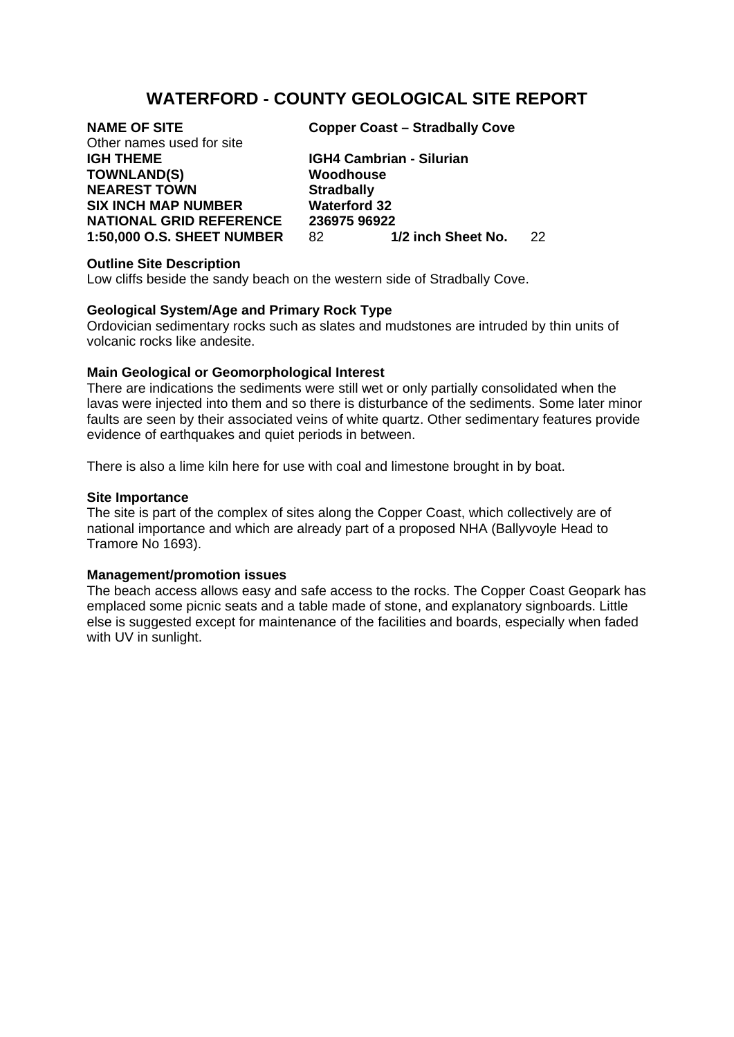# **WATERFORD - COUNTY GEOLOGICAL SITE REPORT**

# Other names used for site

**TOWNLAND(S) Woodhouse NEAREST TOWN Stradbally SIX INCH MAP NUMBER Waterford 32** 

**NAME OF SITE Copper Coast – Stradbally Cove** 

**IGH THEME IGH4 Cambrian - Silurian NATIONAL GRID REFERENCE 236975 96922<br>1:50.000 O.S. SHEET NUMBER 82 1/2 inch Sheet No. 1:50,000 O.S. SHEET NUMBER** 82 **1/2 inch Sheet No.** 22

## **Outline Site Description**

Low cliffs beside the sandy beach on the western side of Stradbally Cove.

## **Geological System/Age and Primary Rock Type**

Ordovician sedimentary rocks such as slates and mudstones are intruded by thin units of volcanic rocks like andesite.

## **Main Geological or Geomorphological Interest**

There are indications the sediments were still wet or only partially consolidated when the lavas were injected into them and so there is disturbance of the sediments. Some later minor faults are seen by their associated veins of white quartz. Other sedimentary features provide evidence of earthquakes and quiet periods in between.

There is also a lime kiln here for use with coal and limestone brought in by boat.

#### **Site Importance**

The site is part of the complex of sites along the Copper Coast, which collectively are of national importance and which are already part of a proposed NHA (Ballyvoyle Head to Tramore No 1693).

#### **Management/promotion issues**

The beach access allows easy and safe access to the rocks. The Copper Coast Geopark has emplaced some picnic seats and a table made of stone, and explanatory signboards. Little else is suggested except for maintenance of the facilities and boards, especially when faded with UV in sunlight.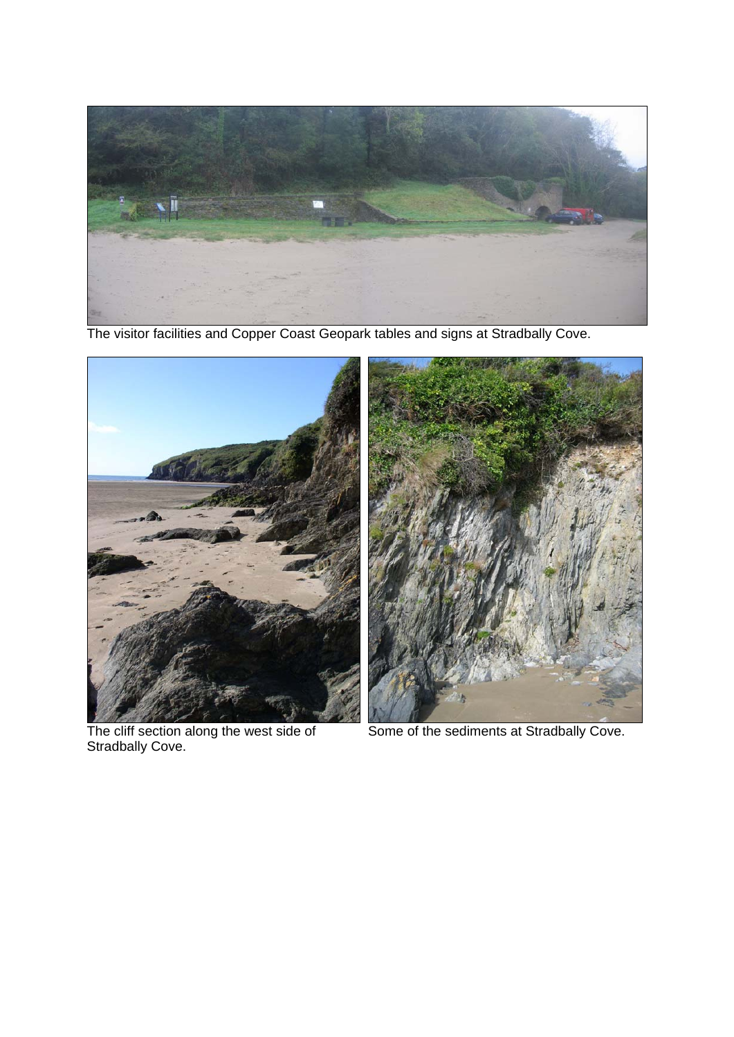

The visitor facilities and Copper Coast Geopark tables and signs at Stradbally Cove.



The cliff section along the west side of<br>Stradbally Cove.



Some of the sediments at Stradbally Cove.